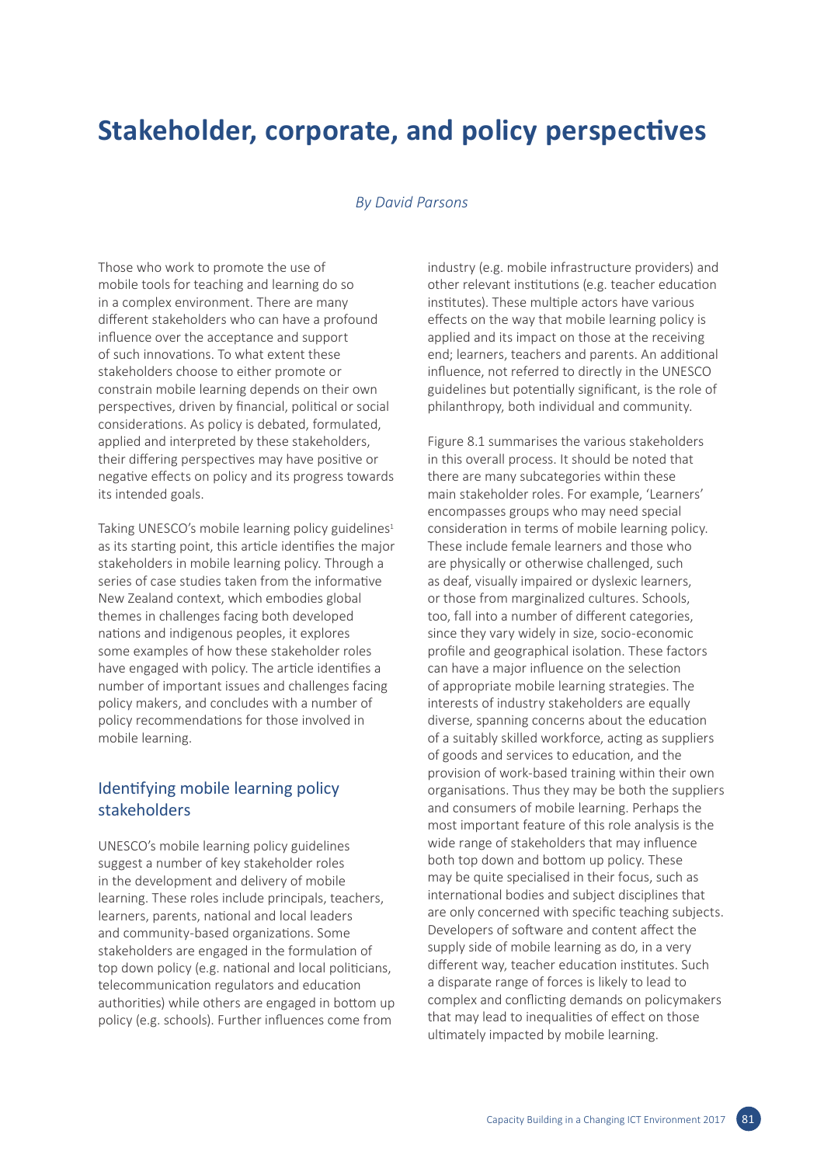# **Stakeholder, corporate, and policy perspectives**

### *By David Parsons*

Those who work to promote the use of mobile tools for teaching and learning do so in a complex environment. There are many different stakeholders who can have a profound influence over the acceptance and support of such innovations. To what extent these stakeholders choose to either promote or constrain mobile learning depends on their own perspectives, driven by financial, political or social considerations. As policy is debated, formulated, applied and interpreted by these stakeholders, their differing perspectives may have positive or negative effects on policy and its progress towards its intended goals.

Taking UNESCO's mobile learning policy guidelines<sup>1</sup> as its starting point, this article identifies the major stakeholders in mobile learning policy. Through a series of case studies taken from the informative New Zealand context, which embodies global themes in challenges facing both developed nations and indigenous peoples, it explores some examples of how these stakeholder roles have engaged with policy. The article identifies a number of important issues and challenges facing policy makers, and concludes with a number of policy recommendations for those involved in mobile learning.

## Identifying mobile learning policy stakeholders

UNESCO's mobile learning policy guidelines suggest a number of key stakeholder roles in the development and delivery of mobile learning. These roles include principals, teachers, learners, parents, national and local leaders and community-based organizations. Some stakeholders are engaged in the formulation of top down policy (e.g. national and local politicians, telecommunication regulators and education authorities) while others are engaged in bottom up policy (e.g. schools). Further influences come from

industry (e.g. mobile infrastructure providers) and other relevant institutions (e.g. teacher education institutes). These multiple actors have various effects on the way that mobile learning policy is applied and its impact on those at the receiving end; learners, teachers and parents. An additional influence, not referred to directly in the UNESCO guidelines but potentially significant, is the role of philanthropy, both individual and community.

Figure 8.1 summarises the various stakeholders in this overall process. It should be noted that there are many subcategories within these main stakeholder roles. For example, 'Learners' encompasses groups who may need special consideration in terms of mobile learning policy. These include female learners and those who are physically or otherwise challenged, such as deaf, visually impaired or dyslexic learners, or those from marginalized cultures. Schools, too, fall into a number of different categories, since they vary widely in size, socio-economic profile and geographical isolation. These factors can have a major influence on the selection of appropriate mobile learning strategies. The interests of industry stakeholders are equally diverse, spanning concerns about the education of a suitably skilled workforce, acting as suppliers of goods and services to education, and the provision of work-based training within their own organisations. Thus they may be both the suppliers and consumers of mobile learning. Perhaps the most important feature of this role analysis is the wide range of stakeholders that may influence both top down and bottom up policy. These may be quite specialised in their focus, such as international bodies and subject disciplines that are only concerned with specific teaching subjects. Developers of software and content affect the supply side of mobile learning as do, in a very different way, teacher education institutes. Such a disparate range of forces is likely to lead to complex and conflicting demands on policymakers that may lead to inequalities of effect on those ultimately impacted by mobile learning.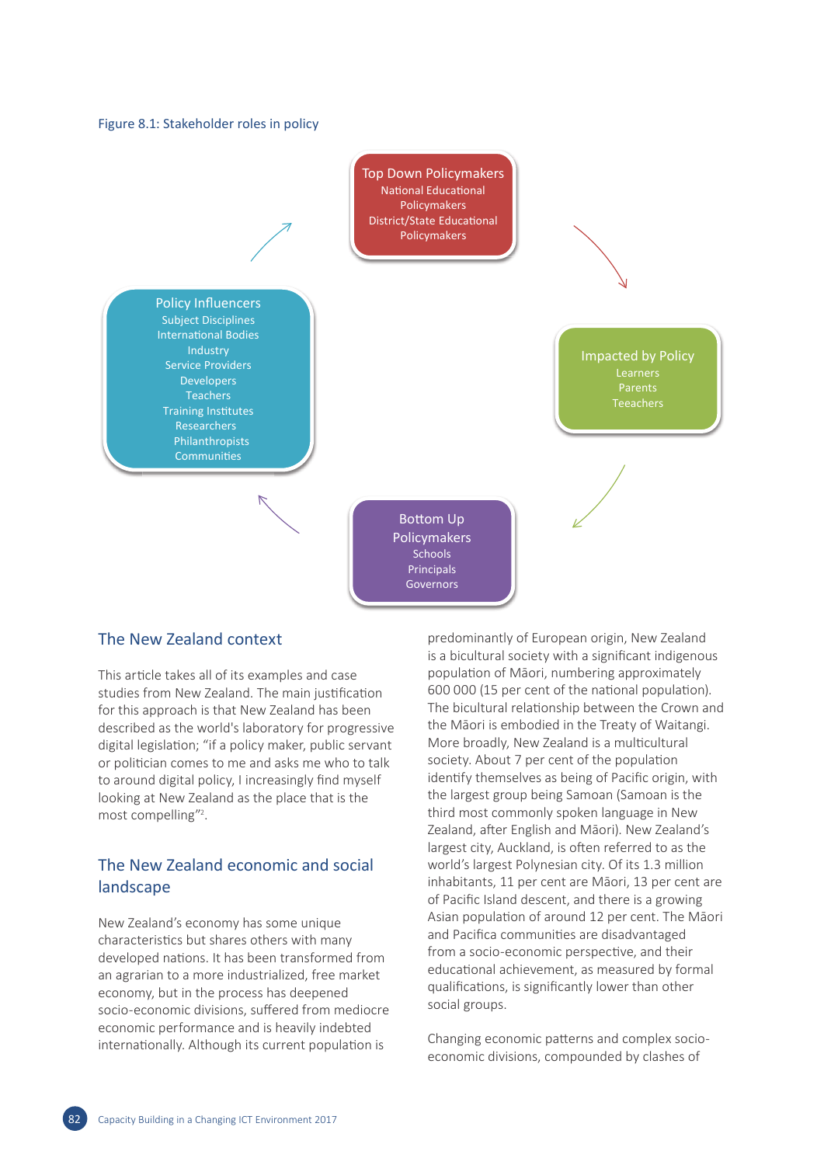



### The New Zealand context

This article takes all of its examples and case studies from New Zealand. The main justification for this approach is that New Zealand has been described as the world's laboratory for progressive digital legislation; "if a policy maker, public servant or politician comes to me and asks me who to talk to around digital policy, I increasingly find myself looking at New Zealand as the place that is the most compelling"2 .

## The New Zealand economic and social landscape

New Zealand's economy has some unique characteristics but shares others with many developed nations. It has been transformed from an agrarian to a more industrialized, free market economy, but in the process has deepened socio-economic divisions, suffered from mediocre economic performance and is heavily indebted internationally. Although its current population is

predominantly of European origin, New Zealand is a bicultural society with a significant indigenous population of Māori, numbering approximately 600 000 (15 per cent of the national population). The bicultural relationship between the Crown and the Māori is embodied in the Treaty of Waitangi. More broadly, New Zealand is a multicultural society. About 7 per cent of the population identify themselves as being of Pacific origin, with the largest group being Samoan (Samoan is the third most commonly spoken language in New Zealand, after English and Māori). New Zealand's largest city, Auckland, is often referred to as the world's largest Polynesian city. Of its 1.3 million inhabitants, 11 per cent are Māori, 13 per cent are of Pacific Island descent, and there is a growing Asian population of around 12 per cent. The Māori and Pacifica communities are disadvantaged from a socio-economic perspective, and their educational achievement, as measured by formal qualifications, is significantly lower than other social groups.

Changing economic patterns and complex socioeconomic divisions, compounded by clashes of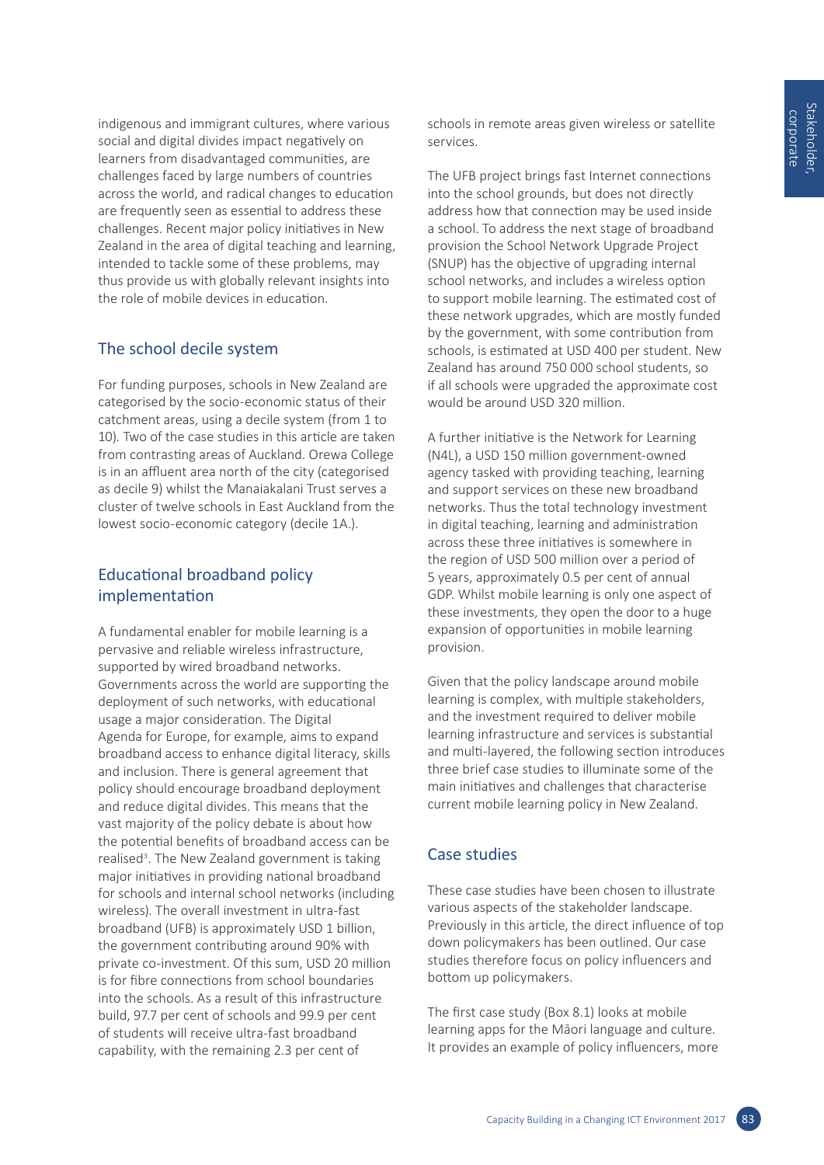indigenous and immigrant cultures, where various social and digital divides impact negatively on learners from disadvantaged communities, are challenges faced by large numbers of countries across the world, and radical changes to education are frequently seen as essential to address these challenges. Recent major policy initiatives in New Zealand in the area of digital teaching and learning, intended to tackle some of these problems, may thus provide us with globally relevant insights into the role of mobile devices in education.

# The school decile system

For funding purposes, schools in New Zealand are categorised by the socio-economic status of their catchment areas, using a decile system (from 1 to 10). Two of the case studies in this article are taken from contrasting areas of Auckland. Orewa College is in an affluent area north of the city (categorised as decile 9) whilst the Manaiakalani Trust serves a cluster of twelve schools in East Auckland from the lowest socio-economic category (decile 1A.).

# Educational broadband policy implementation

A fundamental enabler for mobile learning is a pervasive and reliable wireless infrastructure, supported by wired broadband networks. Governments across the world are supporting the deployment of such networks, with educational usage a major consideration. The Digital Agenda for Europe, for example, aims to expand broadband access to enhance digital literacy, skills and inclusion. There is general agreement that policy should encourage broadband deployment and reduce digital divides. This means that the vast majority of the policy debate is about how the potential benefits of broadband access can be realised<sup>3</sup>. The New Zealand government is taking major initiatives in providing national broadband for schools and internal school networks (including wireless). The overall investment in ultra-fast broadband (UFB) is approximately USD 1 billion, the government contributing around 90% with private co-investment. Of this sum, USD 20 million is for fibre connections from school boundaries into the schools. As a result of this infrastructure build, 97.7 per cent of schools and 99.9 per cent of students will receive ultra-fast broadband capability, with the remaining 2.3 per cent of

schools in remote areas given wireless or satellite services.

The UFB project brings fast Internet connections into the school grounds, but does not directly address how that connection may be used inside a school. To address the next stage of broadband provision the School Network Upgrade Project (SNUP) has the objective of upgrading internal school networks, and includes a wireless option to support mobile learning. The estimated cost of these network upgrades, which are mostly funded by the government, with some contribution from schools, is estimated at USD 400 per student. New Zealand has around 750 000 school students, so if all schools were upgraded the approximate cost would be around USD 320 million.

A further initiative is the Network for Learning (N4L), a USD 150 million government-owned agency tasked with providing teaching, learning and support services on these new broadband networks. Thus the total technology investment in digital teaching, learning and administration across these three initiatives is somewhere in the region of USD 500 million over a period of 5 years, approximately 0.5 per cent of annual GDP. Whilst mobile learning is only one aspect of these investments, they open the door to a huge expansion of opportunities in mobile learning provision.

Given that the policy landscape around mobile learning is complex, with multiple stakeholders, and the investment required to deliver mobile learning infrastructure and services is substantial and multi-layered, the following section introduces three brief case studies to illuminate some of the main initiatives and challenges that characterise current mobile learning policy in New Zealand.

# Case studies

These case studies have been chosen to illustrate various aspects of the stakeholder landscape. Previously in this article, the direct influence of top down policymakers has been outlined. Our case studies therefore focus on policy influencers and bottom up policymakers.

The first case study (Box 8.1) looks at mobile learning apps for the Māori language and culture. It provides an example of policy influencers, more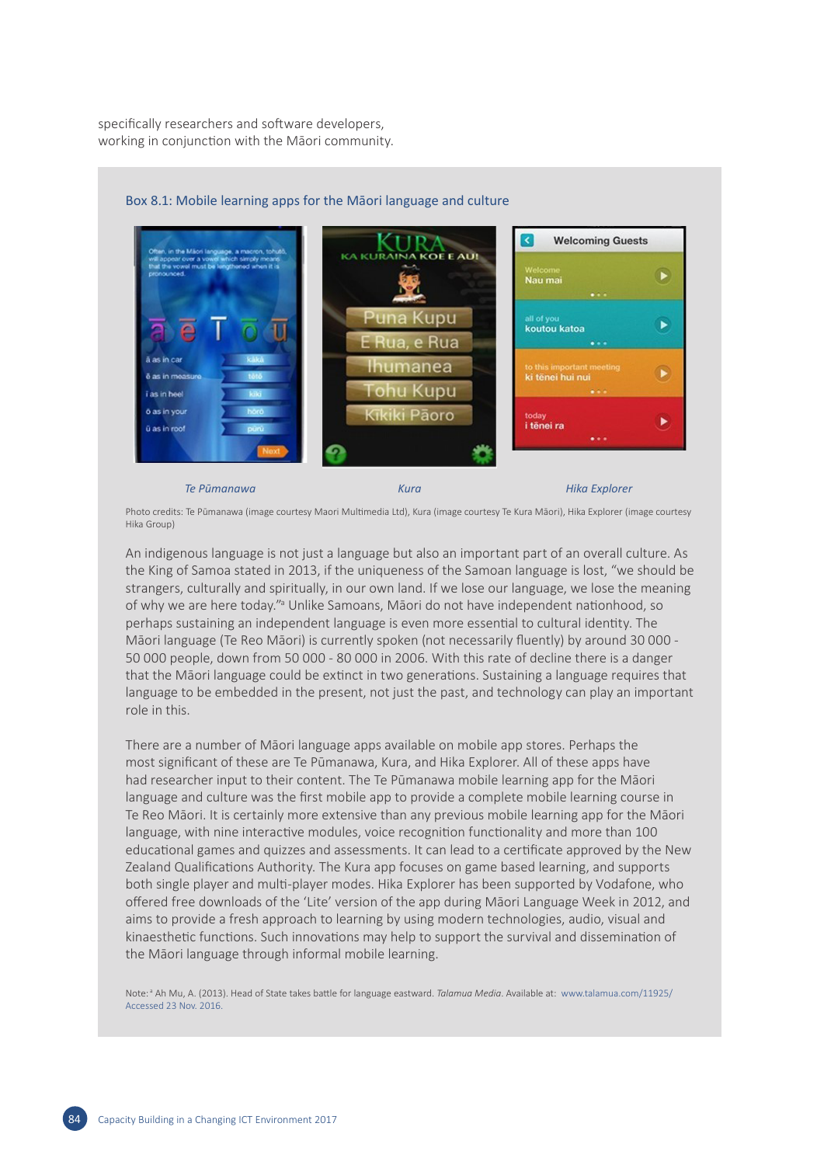specifically researchers and software developers, working in conjunction with the Māori community.



### Box 8.1: Mobile learning apps for the Māori language and culture

#### *Te Pūmanawa Kura Hika Explorer*

Photo credits: Te Pūmanawa (image courtesy Maori Multimedia Ltd), Kura (image courtesy Te Kura Māori), Hika Explorer (image courtesy Hika Group)

An indigenous language is not just a language but also an important part of an overall culture. As the King of Samoa stated in 2013, if the uniqueness of the Samoan language is lost, "we should be strangers, culturally and spiritually, in our own land. If we lose our language, we lose the meaning of why we are here today."<sup>a</sup> Unlike Samoans, Māori do not have independent nationhood, so perhaps sustaining an independent language is even more essential to cultural identity. The Māori language (Te Reo Māori) is currently spoken (not necessarily fluently) by around 30 000 - 50 000 people, down from 50 000 - 80 000 in 2006. With this rate of decline there is a danger that the Māori language could be extinct in two generations. Sustaining a language requires that language to be embedded in the present, not just the past, and technology can play an important role in this.

There are a number of Māori language apps available on mobile app stores. Perhaps the most significant of these are Te Pūmanawa, Kura, and Hika Explorer. All of these apps have had researcher input to their content. The Te Pūmanawa mobile learning app for the Māori language and culture was the first mobile app to provide a complete mobile learning course in Te Reo Māori. It is certainly more extensive than any previous mobile learning app for the Māori language, with nine interactive modules, voice recognition functionality and more than 100 educational games and quizzes and assessments. It can lead to a certificate approved by the New Zealand Qualifications Authority. The Kura app focuses on game based learning, and supports both single player and multi-player modes. Hika Explorer has been supported by Vodafone, who offered free downloads of the 'Lite' version of the app during Māori Language Week in 2012, and aims to provide a fresh approach to learning by using modern technologies, audio, visual and kinaesthetic functions. Such innovations may help to support the survival and dissemination of the Māori language through informal mobile learning.

Note:<sup>a</sup> Ah Mu, A. (2013). Head of State takes battle for language eastward. *Talamua Media*. Available at: [www.talamua.com/11925/](http://www.talamua.com/11925/) Accessed 23 Nov. 2016.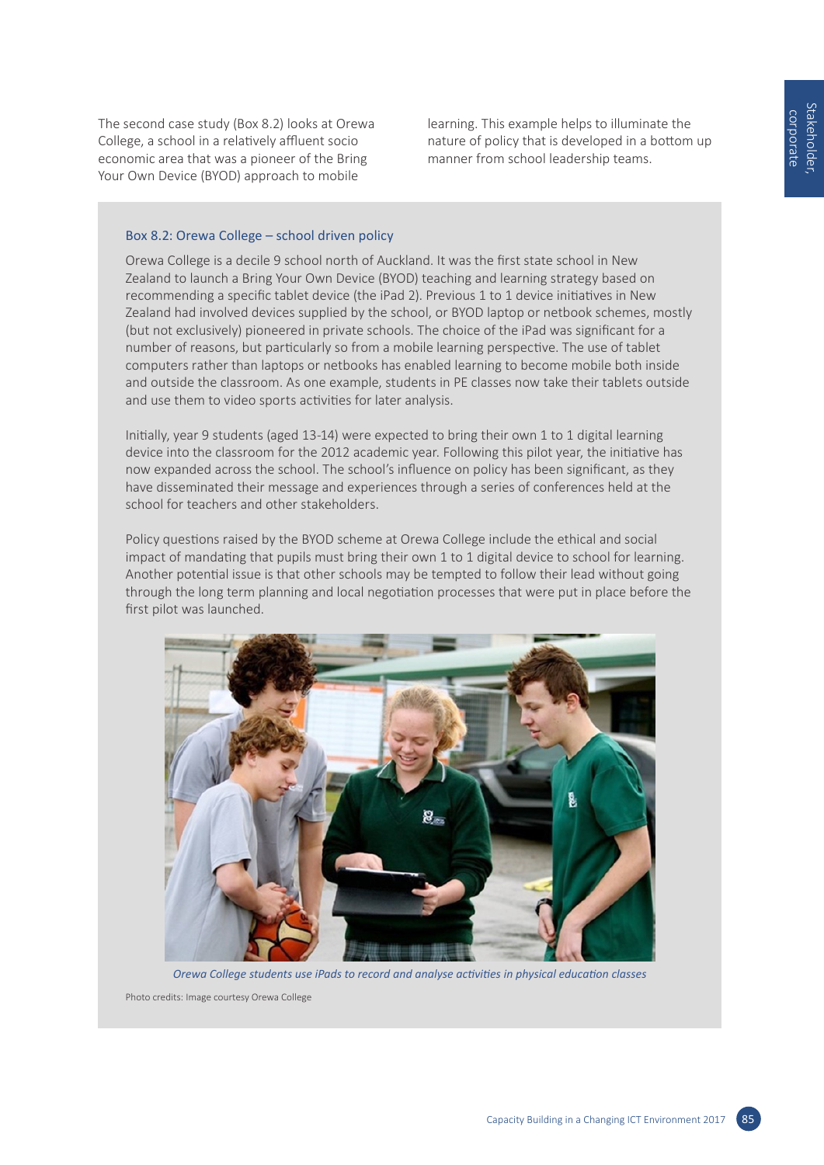The second case study (Box 8.2) looks at Orewa College, a school in a relatively affluent socio economic area that was a pioneer of the Bring Your Own Device (BYOD) approach to mobile

learning. This example helps to illuminate the nature of policy that is developed in a bottom up manner from school leadership teams.

### Box 8.2: Orewa College – school driven policy

Orewa College is a decile 9 school north of Auckland. It was the first state school in New Zealand to launch a Bring Your Own Device (BYOD) teaching and learning strategy based on recommending a specific tablet device (the iPad 2). Previous 1 to 1 device initiatives in New Zealand had involved devices supplied by the school, or BYOD laptop or netbook schemes, mostly (but not exclusively) pioneered in private schools. The choice of the iPad was significant for a number of reasons, but particularly so from a mobile learning perspective. The use of tablet computers rather than laptops or netbooks has enabled learning to become mobile both inside and outside the classroom. As one example, students in PE classes now take their tablets outside and use them to video sports activities for later analysis.

Initially, year 9 students (aged 13-14) were expected to bring their own 1 to 1 digital learning device into the classroom for the 2012 academic year. Following this pilot year, the initiative has now expanded across the school. The school's influence on policy has been significant, as they have disseminated their message and experiences through a series of conferences held at the school for teachers and other stakeholders.

Policy questions raised by the BYOD scheme at Orewa College include the ethical and social impact of mandating that pupils must bring their own 1 to 1 digital device to school for learning. Another potential issue is that other schools may be tempted to follow their lead without going through the long term planning and local negotiation processes that were put in place before the first pilot was launched.



*Orewa College students use iPads to record and analyse activities in physical education classes* Photo credits: Image courtesy Orewa College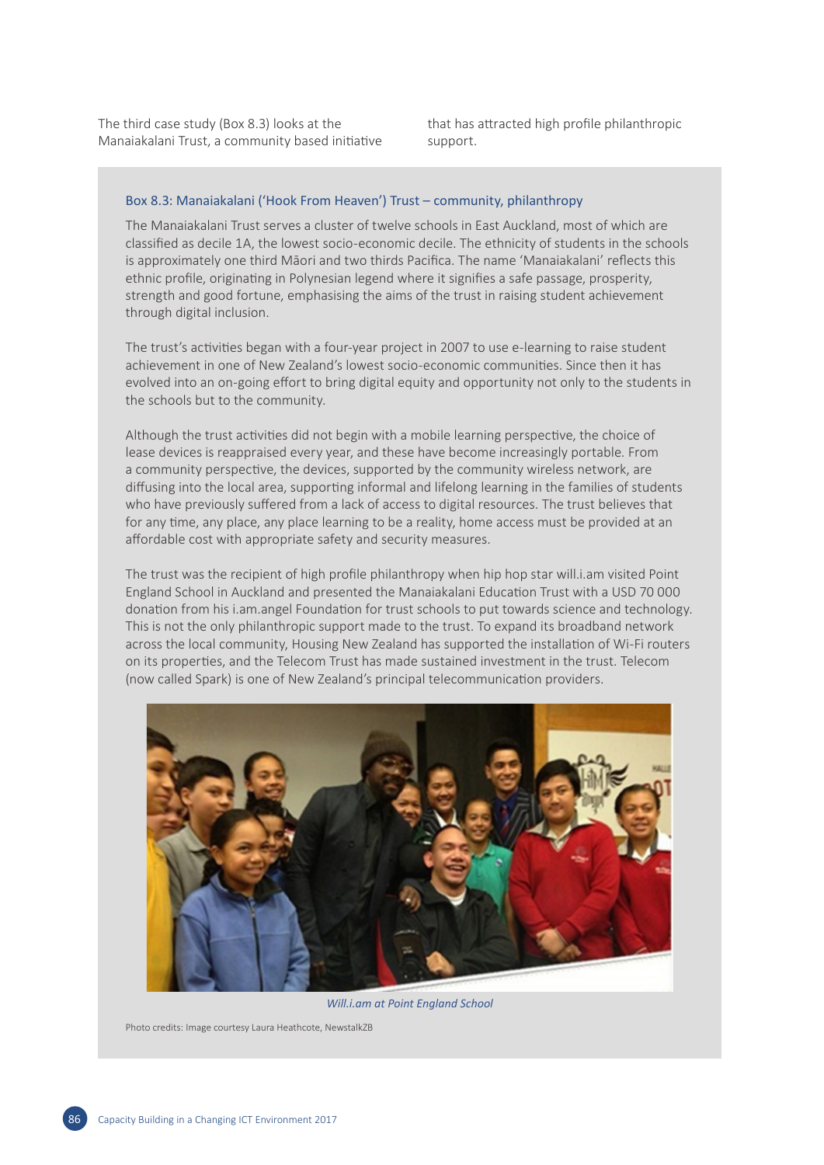The third case study (Box 8.3) looks at the Manaiakalani Trust, a community based initiative that has attracted high profile philanthropic support.

### Box 8.3: Manaiakalani ('Hook From Heaven') Trust – community, philanthropy

The Manaiakalani Trust serves a cluster of twelve schools in East Auckland, most of which are classified as decile 1A, the lowest socio-economic decile. The ethnicity of students in the schools is approximately one third Māori and two thirds Pacifica. The name 'Manaiakalani' reflects this ethnic profile, originating in Polynesian legend where it signifies a safe passage, prosperity, strength and good fortune, emphasising the aims of the trust in raising student achievement through digital inclusion.

The trust's activities began with a four-year project in 2007 to use e-learning to raise student achievement in one of New Zealand's lowest socio-economic communities. Since then it has evolved into an on-going effort to bring digital equity and opportunity not only to the students in the schools but to the community.

Although the trust activities did not begin with a mobile learning perspective, the choice of lease devices is reappraised every year, and these have become increasingly portable. From a community perspective, the devices, supported by the community wireless network, are diffusing into the local area, supporting informal and lifelong learning in the families of students who have previously suffered from a lack of access to digital resources. The trust believes that for any time, any place, any place learning to be a reality, home access must be provided at an affordable cost with appropriate safety and security measures.

The trust was the recipient of high profile philanthropy when hip hop star will.i.am visited Point England School in Auckland and presented the Manaiakalani Education Trust with a USD 70 000 donation from his i.am.angel Foundation for trust schools to put towards science and technology. This is not the only philanthropic support made to the trust. To expand its broadband network across the local community, Housing New Zealand has supported the installation of Wi-Fi routers on its properties, and the Telecom Trust has made sustained investment in the trust. Telecom (now called Spark) is one of New Zealand's principal telecommunication providers.



*Will.i.am at Point England School*

Photo credits: Image courtesy Laura Heathcote, NewstalkZB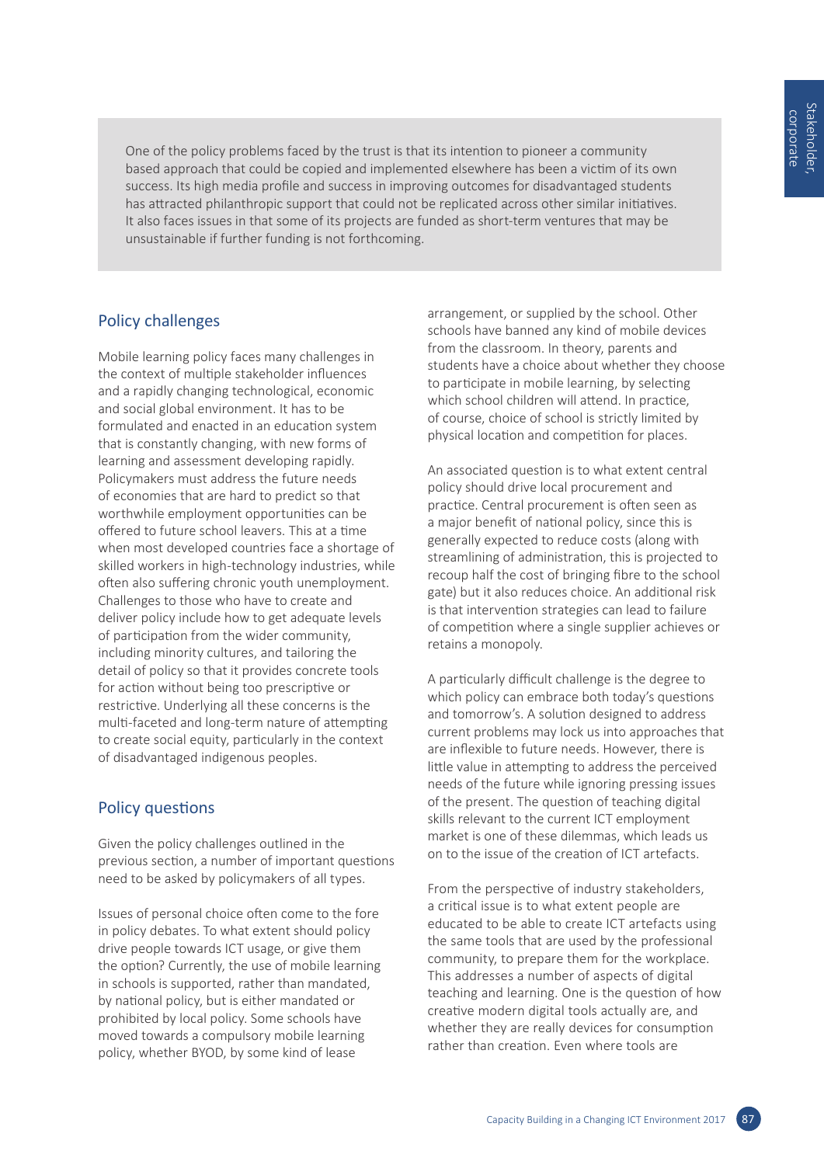One of the policy problems faced by the trust is that its intention to pioneer a community based approach that could be copied and implemented elsewhere has been a victim of its own success. Its high media profile and success in improving outcomes for disadvantaged students has attracted philanthropic support that could not be replicated across other similar initiatives. It also faces issues in that some of its projects are funded as short-term ventures that may be unsustainable if further funding is not forthcoming.

# Policy challenges

Mobile learning policy faces many challenges in the context of multiple stakeholder influences and a rapidly changing technological, economic and social global environment. It has to be formulated and enacted in an education system that is constantly changing, with new forms of learning and assessment developing rapidly. Policymakers must address the future needs of economies that are hard to predict so that worthwhile employment opportunities can be offered to future school leavers. This at a time when most developed countries face a shortage of skilled workers in high-technology industries, while often also suffering chronic youth unemployment. Challenges to those who have to create and deliver policy include how to get adequate levels of participation from the wider community, including minority cultures, and tailoring the detail of policy so that it provides concrete tools for action without being too prescriptive or restrictive. Underlying all these concerns is the multi-faceted and long-term nature of attempting to create social equity, particularly in the context of disadvantaged indigenous peoples.

# Policy questions

Given the policy challenges outlined in the previous section, a number of important questions need to be asked by policymakers of all types.

Issues of personal choice often come to the fore in policy debates. To what extent should policy drive people towards ICT usage, or give them the option? Currently, the use of mobile learning in schools is supported, rather than mandated, by national policy, but is either mandated or prohibited by local policy. Some schools have moved towards a compulsory mobile learning policy, whether BYOD, by some kind of lease

arrangement, or supplied by the school. Other schools have banned any kind of mobile devices from the classroom. In theory, parents and students have a choice about whether they choose to participate in mobile learning, by selecting which school children will attend. In practice, of course, choice of school is strictly limited by physical location and competition for places.

An associated question is to what extent central policy should drive local procurement and practice. Central procurement is often seen as a major benefit of national policy, since this is generally expected to reduce costs (along with streamlining of administration, this is projected to recoup half the cost of bringing fibre to the school gate) but it also reduces choice. An additional risk is that intervention strategies can lead to failure of competition where a single supplier achieves or retains a monopoly.

A particularly difficult challenge is the degree to which policy can embrace both today's questions and tomorrow's. A solution designed to address current problems may lock us into approaches that are inflexible to future needs. However, there is little value in attempting to address the perceived needs of the future while ignoring pressing issues of the present. The question of teaching digital skills relevant to the current ICT employment market is one of these dilemmas, which leads us on to the issue of the creation of ICT artefacts.

From the perspective of industry stakeholders, a critical issue is to what extent people are educated to be able to create ICT artefacts using the same tools that are used by the professional community, to prepare them for the workplace. This addresses a number of aspects of digital teaching and learning. One is the question of how creative modern digital tools actually are, and whether they are really devices for consumption rather than creation. Even where tools are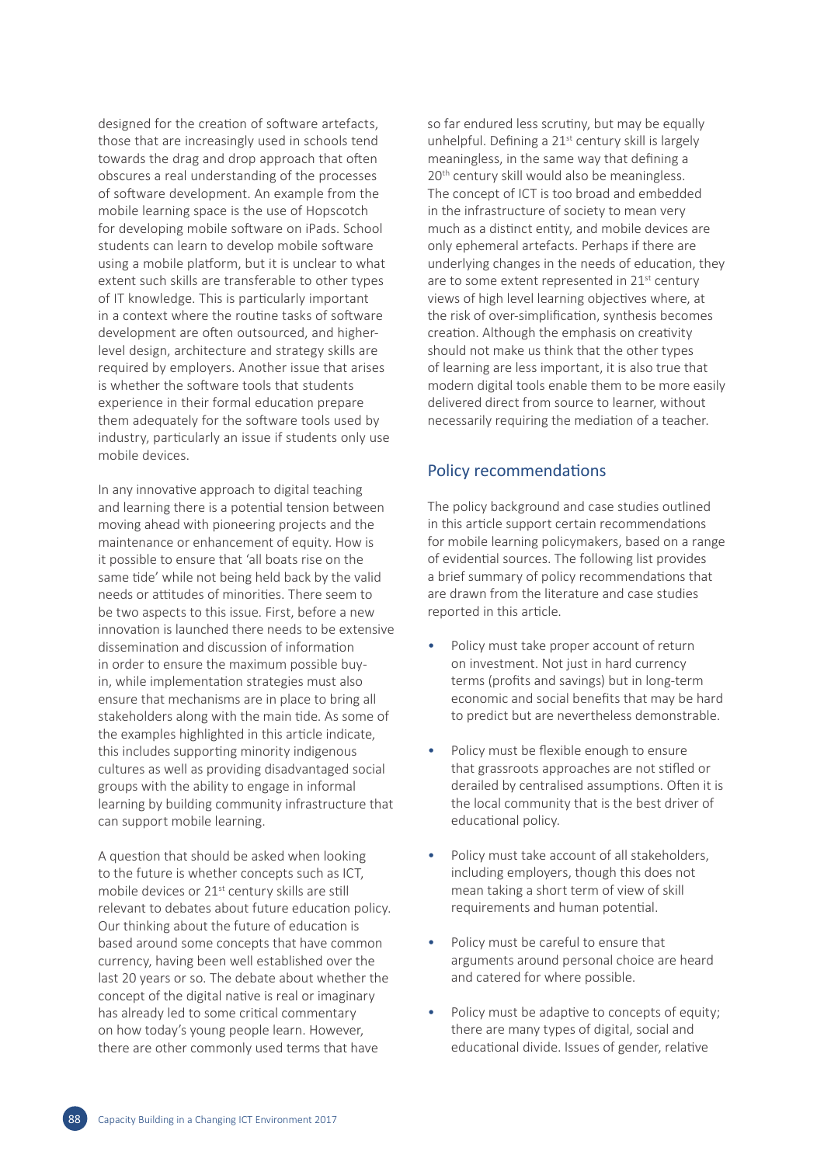designed for the creation of software artefacts, those that are increasingly used in schools tend towards the drag and drop approach that often obscures a real understanding of the processes of software development. An example from the mobile learning space is the use of Hopscotch for developing mobile software on iPads. School students can learn to develop mobile software using a mobile platform, but it is unclear to what extent such skills are transferable to other types of IT knowledge. This is particularly important in a context where the routine tasks of software development are often outsourced, and higherlevel design, architecture and strategy skills are required by employers. Another issue that arises is whether the software tools that students experience in their formal education prepare them adequately for the software tools used by industry, particularly an issue if students only use mobile devices.

In any innovative approach to digital teaching and learning there is a potential tension between moving ahead with pioneering projects and the maintenance or enhancement of equity. How is it possible to ensure that 'all boats rise on the same tide' while not being held back by the valid needs or attitudes of minorities. There seem to be two aspects to this issue. First, before a new innovation is launched there needs to be extensive dissemination and discussion of information in order to ensure the maximum possible buyin, while implementation strategies must also ensure that mechanisms are in place to bring all stakeholders along with the main tide. As some of the examples highlighted in this article indicate, this includes supporting minority indigenous cultures as well as providing disadvantaged social groups with the ability to engage in informal learning by building community infrastructure that can support mobile learning.

A question that should be asked when looking to the future is whether concepts such as ICT, mobile devices or 21st century skills are still relevant to debates about future education policy. Our thinking about the future of education is based around some concepts that have common currency, having been well established over the last 20 years or so. The debate about whether the concept of the digital native is real or imaginary has already led to some critical commentary on how today's young people learn. However, there are other commonly used terms that have

so far endured less scrutiny, but may be equally unhelpful. Defining a 21<sup>st</sup> century skill is largely meaningless, in the same way that defining a 20<sup>th</sup> century skill would also be meaningless. The concept of ICT is too broad and embedded in the infrastructure of society to mean very much as a distinct entity, and mobile devices are only ephemeral artefacts. Perhaps if there are underlying changes in the needs of education, they are to some extent represented in 21<sup>st</sup> century views of high level learning objectives where, at the risk of over-simplification, synthesis becomes creation. Although the emphasis on creativity should not make us think that the other types of learning are less important, it is also true that modern digital tools enable them to be more easily delivered direct from source to learner, without necessarily requiring the mediation of a teacher.

### Policy recommendations

The policy background and case studies outlined in this article support certain recommendations for mobile learning policymakers, based on a range of evidential sources. The following list provides a brief summary of policy recommendations that are drawn from the literature and case studies reported in this article.

- Policy must take proper account of return on investment. Not just in hard currency terms (profits and savings) but in long-term economic and social benefits that may be hard to predict but are nevertheless demonstrable.
- Policy must be flexible enough to ensure that grassroots approaches are not stifled or derailed by centralised assumptions. Often it is the local community that is the best driver of educational policy.
- Policy must take account of all stakeholders, including employers, though this does not mean taking a short term of view of skill requirements and human potential.
- Policy must be careful to ensure that arguments around personal choice are heard and catered for where possible.
- Policy must be adaptive to concepts of equity; there are many types of digital, social and educational divide. Issues of gender, relative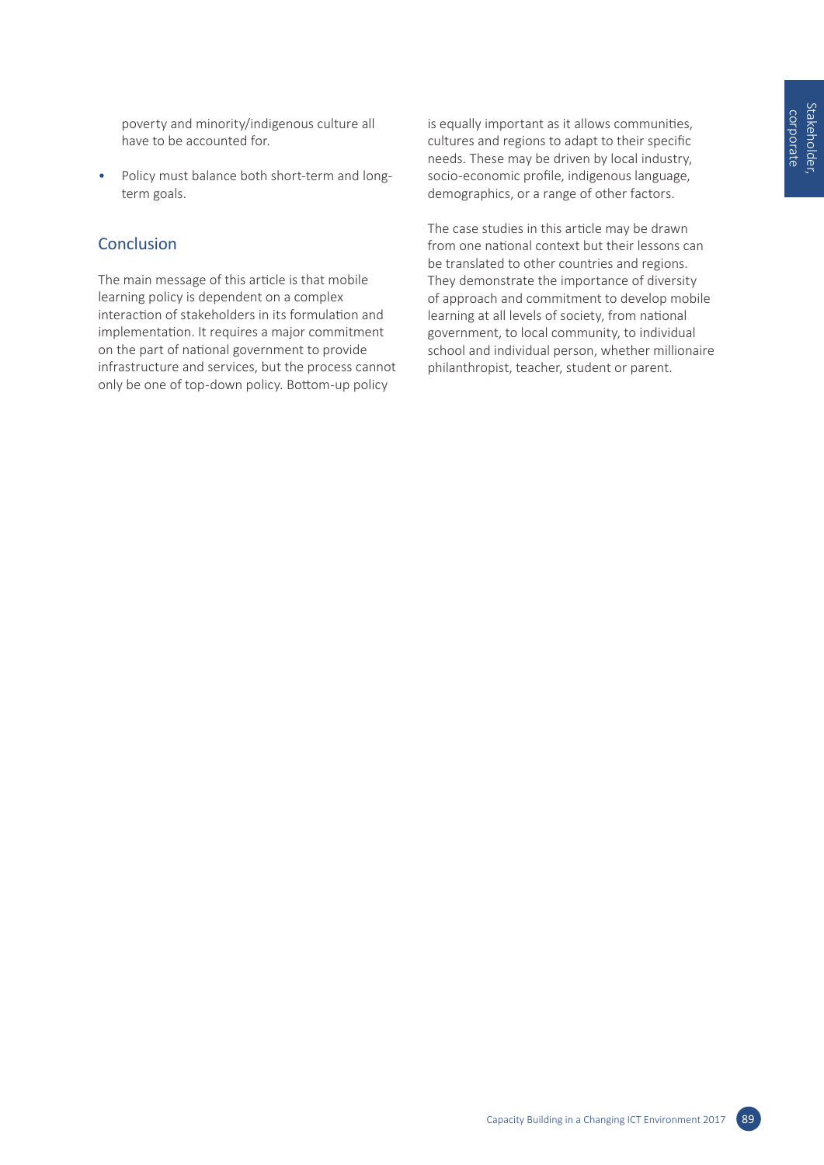poverty and minority/indigenous culture all have to be accounted for.

• Policy must balance both short-term and longterm goals.

# **Conclusion**

The main message of this article is that mobile learning policy is dependent on a complex interaction of stakeholders in its formulation and implementation. It requires a major commitment on the part of national government to provide infrastructure and services, but the process cannot only be one of top-down policy. Bottom-up policy

is equally important as it allows communities, cultures and regions to adapt to their specific needs. These may be driven by local industry, socio-economic profile, indigenous language, demographics, or a range of other factors.

The case studies in this article may be drawn from one national context but their lessons can be translated to other countries and regions. They demonstrate the importance of diversity of approach and commitment to develop mobile learning at all levels of society, from national government, to local community, to individual school and individual person, whether millionaire philanthropist, teacher, student or parent.